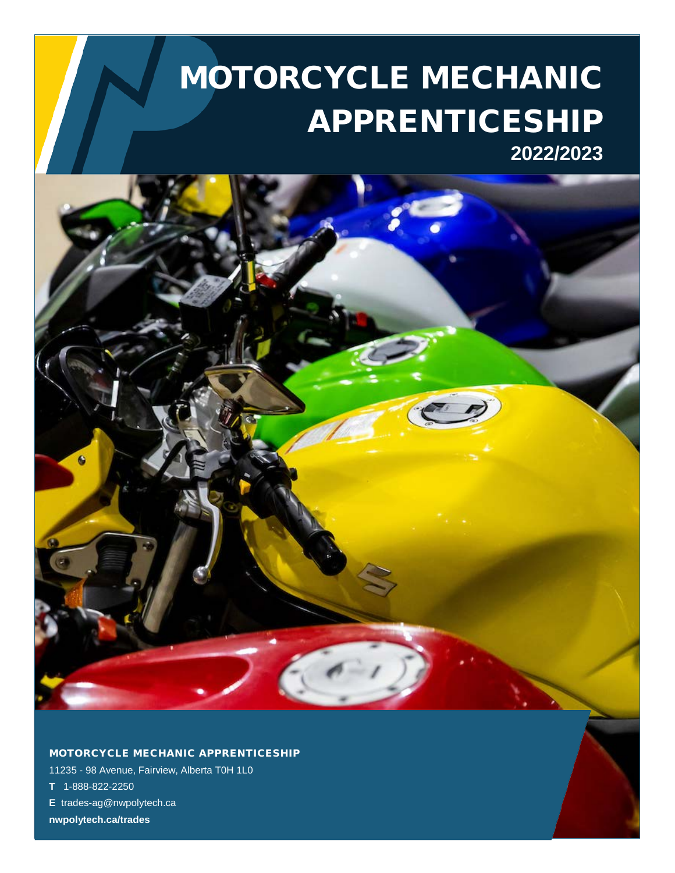# MOTORCYCLE MECHANIC APPRENTICESHIP **2022/2023**

MOTORCYCLE MECHANIC APPRENTICESHIP

11235 - 98 Avenue, Fairview, Alberta T0H 1L0

**T** 1-888-822-2250

**E** trades-ag@nwpolytech.ca

**nwpolytech.ca/trades**